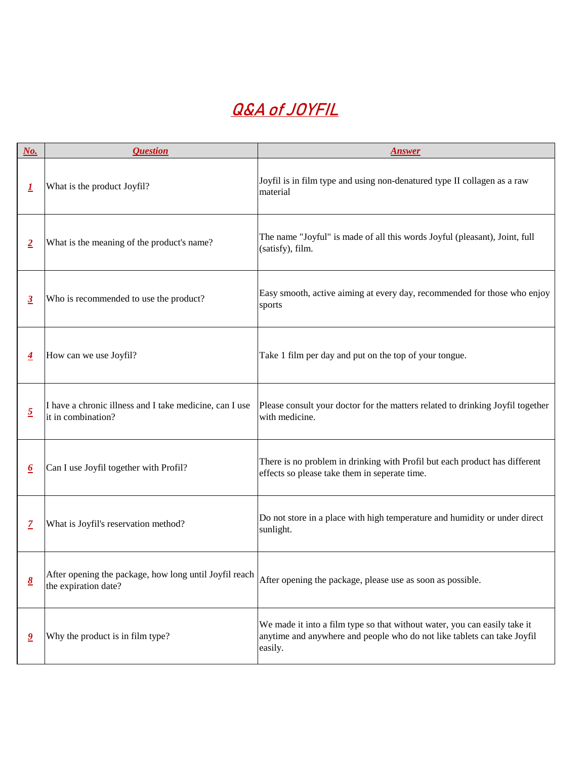| $N_o$ .                              | <i><b>Question</b></i>                                                         | <b>Answer</b>                                                                                                                                                   |
|--------------------------------------|--------------------------------------------------------------------------------|-----------------------------------------------------------------------------------------------------------------------------------------------------------------|
|                                      | What is the product Joyfil?                                                    | Joyfil is in film type and using non-denatured type II collagen as a raw<br>material                                                                            |
| $\overline{2}$                       | What is the meaning of the product's name?                                     | The name "Joyful" is made of all this words Joyful (pleasant), Joint, full<br>(satisfy), film.                                                                  |
| $\overline{3}$                       | Who is recommended to use the product?                                         | Easy smooth, active aiming at every day, recommended for those who enjoy<br>sports                                                                              |
|                                      | How can we use Joyfil?                                                         | Take 1 film per day and put on the top of your tongue.                                                                                                          |
| $\overline{2}$                       | I have a chronic illness and I take medicine, can I use<br>it in combination?  | Please consult your doctor for the matters related to drinking Joyfil together<br>with medicine.                                                                |
| $\overline{\mathbf{0}}$              | Can I use Joyfil together with Profil?                                         | There is no problem in drinking with Profil but each product has different<br>effects so please take them in seperate time.                                     |
|                                      | What is Joyfil's reservation method?                                           | Do not store in a place with high temperature and humidity or under direct<br>sunlight.                                                                         |
| $\underline{\underline{\mathbf{8}}}$ | After opening the package, how long until Joyfil reach<br>the expiration date? | After opening the package, please use as soon as possible.                                                                                                      |
|                                      | Why the product is in film type?                                               | We made it into a film type so that without water, you can easily take it<br>anytime and anywhere and people who do not like tablets can take Joyfil<br>easily. |

## **Q&A of JOYFIL**